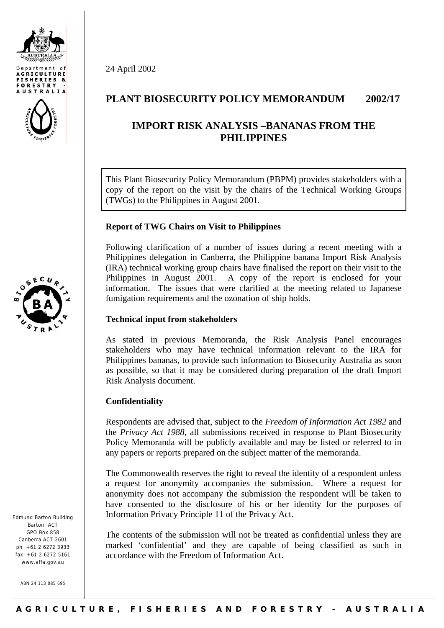





Edmund Barton Building Barton ACT GPO Box 858 Canberra ACT 2601  $nh + 61$  2 6272 3933  $fax +61$  2 6272 5161 www.affa.gov.au

ABN 24 113 085 695

# **PLANT BIOSECURITY POLICY MEMORANDUM 2002/17**

# **IMPORT RISK ANALYSIS –BANANAS FROM THE PHILIPPINES**

This Plant Biosecurity Policy Memorandum (PBPM) provides stakeholders with a copy of the report on the visit by the chairs of the Technical Working Groups (TWGs) to the Philippines in August 2001.

### **Report of TWG Chairs on Visit to Philippines**

Following clarification of a number of issues during a recent meeting with a Philippines delegation in Canberra, the Philippine banana Import Risk Analysis (IRA) technical working group chairs have finalised the report on their visit to the Philippines in August 2001. A copy of the report is enclosed for your information. The issues that were clarified at the meeting related to Japanese fumigation requirements and the ozonation of ship holds.

#### **Technical input from stakeholders**

As stated in previous Memoranda, the Risk Analysis Panel encourages stakeholders who may have technical information relevant to the IRA for Philippines bananas, to provide such information to Biosecurity Australia as soon as possible, so that it may be considered during preparation of the draft Import Risk Analysis document.

## **Confidentiality**

24 April 2002

Respondents are advised that, subject to the *Freedom of Information Act 1982* and the *Privacy Act 1988*, all submissions received in response to Plant Biosecurity Policy Memoranda will be publicly available and may be listed or referred to in any papers or reports prepared on the subject matter of the memoranda.

The Commonwealth reserves the right to reveal the identity of a respondent unless a request for anonymity accompanies the submission. Where a request for anonymity does not accompany the submission the respondent will be taken to have consented to the disclosure of his or her identity for the purposes of Information Privacy Principle 11 of the Privacy Act.

The contents of the submission will not be treated as confidential unless they are marked 'confidential' and they are capable of being classified as such in accordance with the Freedom of Information Act.